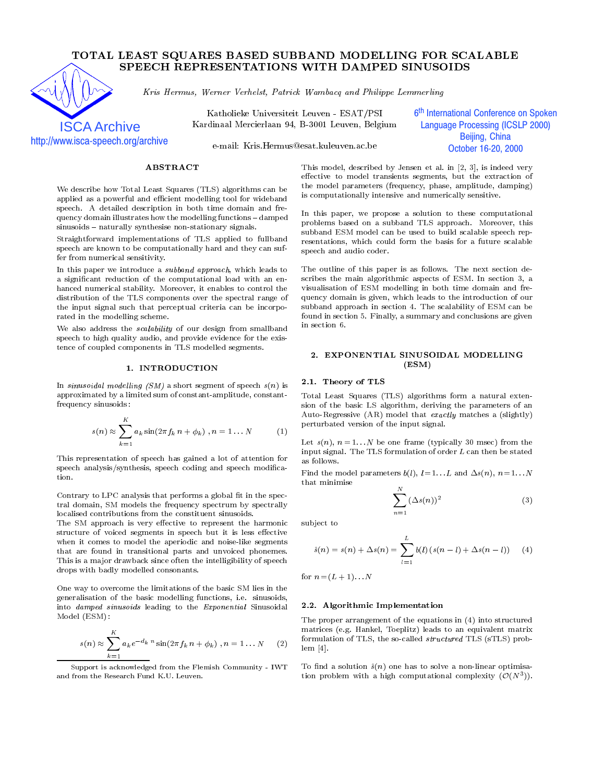# TOTAL LEAST SQUARES BASED SUBBAND MODELLING FOR SCALABLE SPEECH REPRESENTATIONS WITH DAMPED SINUSOIDS



Kris Hermus, Werner Verhelst, Patrick Wambacq and Philippe Lemmerling

Katholieke Universiteit Leuven - ESAT/PSI Kardinaal Mercierlaan 94, B-3001 Leuven, Belgium 6<sup>th</sup> International Conference on Spoken j **Language Processing (ICSLP 2000)** Beijing, China October 16-20, 2000

http://www.isca-speech.org/archive

e-mail: Kris.Hermus@esat.kuleuven.ac.be

# ABSTRACT

We describe how Total Least Squares (TLS) algorithms can be applied as a powerful and efficient modelling tool for wideband speech. A detailed description in both time domain and frequency domain illustrates how the modelling functions - damped sinusoids - naturally synthesise non-stationary signals.

Straightforward implementations of TLS applied to fullband speech are known to be computationally hard and they can suffer from numerical sensitivity.

In this paper we introduce a subband approach, which leads to a signicant reduction of the computational load with an en hanced numerical stability. Moreover, it enables to control the distribution of the TLS components over the spectral range of the input signal such that perceptual criteria can be incorporated in the modelling scheme.

We also address the  $scalability$  of our design from smallband speech to high quality audio, and provide evidence for the existence of coupled components in TLS modelled segments.

## 1. INTRODUCTION

In sinusoidal modelling  $(SM)$  a short segment of speech  $s(n)$  is approximated by a limited sum of constant-amplitude, constantfrequency sinusoids :

$$
s(n) \approx \sum_{k=1}^{K} a_k \sin(2\pi f_k n + \phi_k), n = 1...N
$$
 (1)

This representation of speech has gained a lot of attention for speech analysis/synthesis, speech coding and speech modication.

Contrary to LPC analysis that performs a global fit in the spectral domain, SM models the frequency spectrum by spectrally localised contributions from the constituent sinusoids.

The SM approach is very effective to represent the harmonic structure of voiced segments in speech but it is less effective when it comes to model the aperiodic and noise-like segments that are found in transitional parts and unvoiced phonemes. This is a major drawback since often the intelligibility of speech drops with badly modelled consonants.

One way to overcome the limitations of the basic SM lies in the generalisation of the basic modelling functions, i.e. sinusoids, into damped sinusoids leading to the Exponential Sinusoidal Model (ESM) :

$$
s(n) \approx \sum_{k=1}^{K} a_k e^{-d_k n} \sin(2\pi f_k n + \phi_k), n = 1...N
$$
 (2) for

Support is acknowledged from the Flemish Community - IWTand from the Research Fund K.U. Leuven.

This model, described by Jensen et al. in [2, 3], is indeed very effective to model transients segments, but the extraction of the model parameters (frequency, phase, amplitude, damping) is computationally intensive and numerically sensitive.

In this paper, we propose a solution to these computational problems based on a subband TLS approach. Moreover, this subband ESM model can be used to build scalable speech rep resentations, which could form the basis for a future scalable speech and audio coder.

The outline of this paper is as follows. The next section describes the main algorithmic aspects of ESM. In section 3, a visualisation of ESM modelling in both time domain and frequency domain is given, which leads to the introduction of our subband approach in section 4. The scalability of ESM can be found in section 5. Finally, a summary and conclusions are given in section 6.

### 2. EXPONENTIAL SINUSOIDAL MODELLING (ESM)

### 2.1. Theory of TLS

Total Least Squares (TLS) algorithms form a natural extension of the basic LS algorithm, deriving the parameters of an Auto-Regressive (AR) model that exactly matches a (slightly) perturbated version of the input signal.

Let  $s(n)$ ,  $n = 1...N$  be one frame (typically 30 msec) from the input signal. The TLS formulation of order  $L$  can then be stated as follows.

Find the model parameters  $b(l)$ ,  $l=1...L$  and  $\Delta s(n)$ ,  $n=1...N$ that minimise

$$
\sum_{n=1}^{N} (\Delta s(n))^2 \tag{3}
$$

sub ject to

$$
\hat{s}(n) = s(n) + \Delta s(n) = \sum_{l=1}^{L} b(l) (s(n-l) + \Delta s(n-l)) \qquad (4)
$$

for  $n = (L + 1)...N$ 

### 2.2. Algorithmic Implementation

The proper arrangement of the equations in (4) into structured matrices (e.g. Hankel, Toeplitz) leads to an equivalent matrix formulation of TLS, the so-called structured TLS (sTLS) problem [4].

 To nd a solution ^s(n) one has to solve a non-linear optimisa- $\frac{1}{100}$  problem with a high computational complexity  $\left(\mathcal{O}(N_1)\right)$ .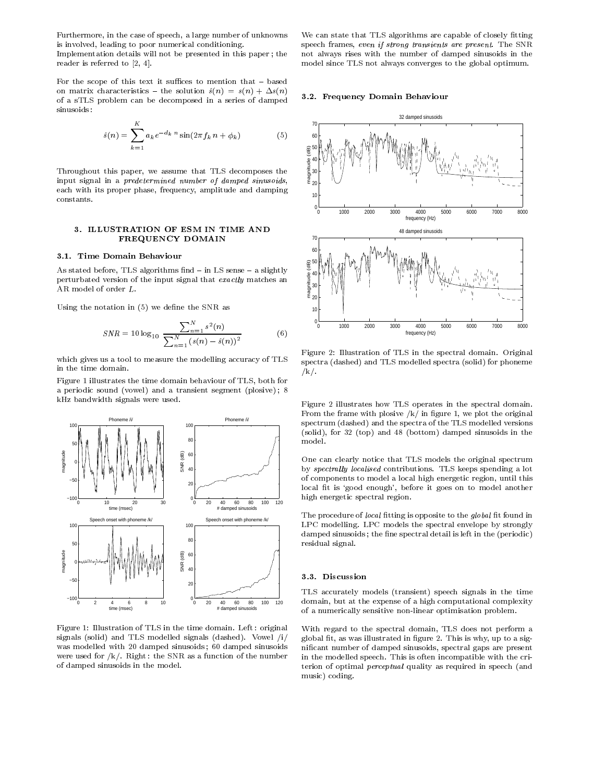Furthermore, in the case of speech, a large number of unknowns is involved, leading to poor numerical conditioning.

Implementation details will not be presented in this paper ; the reader is referred to [2, 4].

For the scope of this text it suffices to mention that  $-$  based on matrix characteristics - the solution  $\hat{s}(n) = s(n) + \Delta s(n)$ of a sTLS problem can be decomposed in a series of damped sinusoids:

$$
\hat{s}(n) = \sum_{k=1}^{K} a_k e^{-d_k n} \sin(2\pi f_k n + \phi_k)
$$
 (5)

Throughout this paper, we assume that TLS decomposes the input signal in a predetermined number of damped sinusoids, each with its proper phase, frequency, amplitude and damping constants.

### 3. ILLUSTRATION OF ESM IN TIME AND FREQUENCY DOMAIN

#### 3.1. Time Domain Behaviour

As stated before, TLS algorithms find - in LS sense - a slightly perturbated version of the input signal that exactly matches an AR model of order L.

Using the notation in  $(5)$  we define the SNR as

$$
SNR = 10 \log_{10} \frac{\sum_{n=1}^{N} s^2(n)}{\sum_{n=1}^{N} (s(n) - \hat{s}(n))^2}
$$
(6)

which gives us a tool to measure the modelling accuracy of TLS in the time domain.

Figure 1 illustrates the time domain behaviour of TLS, both for a periodic sound (vowel) and a transient segment (plosive) ; 8 kHz bandwidth signals were used.



Figure 1: Illustration of TLS in the time domain. Left : original signals (solid) and TLS modelled signals (dashed). Vowel /i/ was modelled with 20 damped sinusoids ; 60 damped sinusoids were used for  $/k/$ . Right: the SNR as a function of the number of damped sinusoids in the model.

We can state that TLS algorithms are capable of closely fitting speech frames, even if strong transients are present. The SNR not always rises with the number of damped sinusoids in the model since TLS not always converges to the global optimum.

#### 3.2. Frequency Domain Behaviour



Figure 2: Illustration of TLS in the spectral domain. Original spectra (dashed) and TLS modelled spectra (solid) for phoneme /k/.

Figure 2 illustrates how TLS operates in the spectral domain. From the frame with plosive  $/k/$  in figure 1, we plot the original spectrum (dashed) and the spectra of the TLS modelled versions (solid), for 32 (top) and 48 (bottom) damped sinusoids in the model.

One can clearly notice that TLS models the original spectrum by spectrally localised contributions. TLS keeps spending a lot of components to model a local high energetic region, until this local fit is 'good enough', before it goes on to model another high energetic spectral region.

The procedure of local fitting is opposite to the global fit found in LPC modelling. LPC models the spectral envelope by strongly damped sinusoids; the fine spectral detail is left in the (periodic) residual signal.

#### 3.3. Discussion

TLS accurately models (transient) speech signals in the time domain, but at the expense of a high computational complexity of a numerically sensitive non-linear optimisation problem.

With regard to the spectral domain, TLS does not perform a global fit, as was illustrated in figure 2. This is why, up to a signicant number of damped sinusoids, spectral gaps are present in the modelled speech. This is often incompatible with the criterion of optimal *perceptual* quality as required in speech (and music) coding.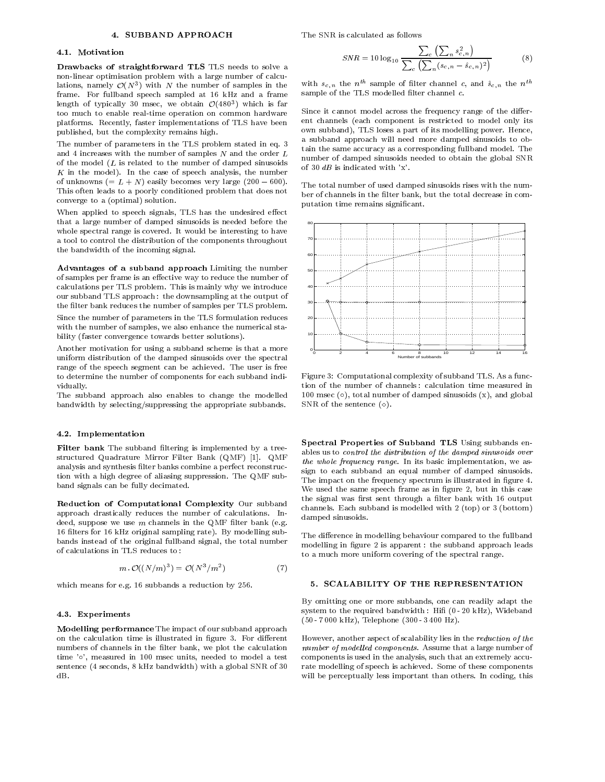### 4. SUBBAND APPROACH

The SNR is calculated as follows

#### 4.1 Motivation

Drawbacks of straightforward TLS TLS needs to solve a non-linear optimisation problem with a large number of calculations, namely  $O(N<sup>2</sup>)$  with N the number of samples in the  $N<sup>2</sup>$ frame. For fullband speech sampled at 16 kHz and a frame length of typically 30 msec, we obtain  $O(480^\circ)$  which is far too much to enable real-time operation on common hardware platforms. Recently, faster implementations of TLS have been published, but the complexity remains high.

The number of parameters in the TLS problem stated in eq. 3 and 4 increases with the number of samples  $N$  and the order  $L$ of the model  $(L$  is related to the number of damped sinusoids  $K$  in the model). In the case of speech analysis, the number of unknowns  $(= L + N)$  easily becomes very large  $(200 - 600)$ . This often leads to a poorly conditioned problem that does not converge to a (optimal) solution.

When applied to speech signals, TLS has the undesired effect that a large number of damped sinusoids is needed before the whole spectral range is covered. It would be interesting to have a tool to control the distribution of the components throughout the bandwidth of the incoming signal.

Advantages of a subband approach Limiting the number of samples per frame is an effective way to reduce the number of calculations per TLS problem. This is mainly why we introduce our subband TLS approach : the downsampling at the output of the filter bank reduces the number of samples per TLS problem.

Since the number of parameters in the TLS formulation reduces with the number of samples, we also enhance the numerical stability (faster convergence towards better solutions).

Another motivation for using a subband scheme is that a more uniform distribution of the damped sinusoids over the spectral range of the speech segment can be achieved. The user is free to determine the number of components for each subband individually.

The subband approach also enables to change the modelled bandwidth by selecting/suppressing the appropriate subbands.

#### 4.2. Implementation

Filter bank The subband filtering is implemented by a treestructured Quadrature Mirror Filter Bank (QMF) [1]. QMF analysis and synthesis filter banks combine a perfect reconstruction with a high degree of aliasing suppression. The QMF subband signals can be fully decimated.

Reduction of Computational Complexity Our subband approach drastically reduces the number of calculations. Indeed, suppose we use  $m$  channels in the QMF filter bank (e.g. 16 filters for 16 kHz original sampling rate). By modelling subbands instead of the original fullband signal, the total number of calculations in TLS reduces to :

$$
m \cdot \mathcal{O}((N/m)^3) = \mathcal{O}(N^3/m^2) \tag{7}
$$

which means for e.g. 16 subbands a reduction by 256.

#### 4.3. Experiments

Modelling performance The impact of our subband approach on the calculation time is illustrated in figure 3. For different numbers of channels in the filter bank, we plot the calculation time 'o', measured in 100 msec units, needed to model a test sentence (4 seconds, 8 kHz bandwidth) with a global SNR of 30

$$
SNR = 10 \log_{10} \frac{\sum_{c} (\sum_{n} s_{c,n}^2)}{\sum_{c} (\sum_{n} (s_{c,n} - \hat{s}_{c,n})^2)}
$$
(8)

with  $s_{c,n}$  the  $n^{th}$  sample of filter channel c, and  $\hat{s}_{c,n}$  the  $n^{th}$ sample of the TLS modelled filter channel  $c$ .

Since it cannot model across the frequency range of the different channels (each component is restricted to model only its own subband), TLS loses a part of its modelling power. Hence, a subband approach will need more damped sinusoids to obtain the same accuracy as a corresponding fullband model. The number of damped sinusoids needed to obtain the global SNR of 30  $dB$  is indicated with 'x'.

The total number of used damped sinusoids rises with the num ber of channels in the filter bank, but the total decrease in computation time remains signicant.



Figure 3: Computational complexity of subband TLS. As a function of the number of channels : calculation time measured in 100 msec  $(o)$ , total number of damped sinusoids  $(x)$ , and global SNR of the sentence  $(\diamond)$ .

Spectral Properties of Subband TLS Using subbands enables us to control the distribution of the damped sinusoids over the whole frequency range. In its basic implementation, we as sign to each subband an equal number of damped sinusoids. The impact on the frequency spectrum is illustrated in figure 4. We used the same speech frame as in figure 2, but in this case the signal was first sent through a filter bank with 16 output channels. Each subband is modelled with 2 (top) or 3 (bottom) damped sinusoids.

The difference in modelling behaviour compared to the fullband modelling in figure 2 is apparent: the subband approach leads to a much more uniform covering of the spectral range.

#### 5. SCALABILITY OF THE REPRESENTATION

By omitting one or more subbands, one can readily adapt the system to the required bandwidth: Hifi (0 - 20 kHz), Wideband (50 - 7 000 kHz), Telephone (300 - 3 400 Hz).

However, another aspect of scalability lies in the reduction of the number of modelled components. Assume that a large number of components is used in the analysis, such that an extremely accurate modelling of speech is achieved. Some of these components will be perceptually less important than others. In coding, this